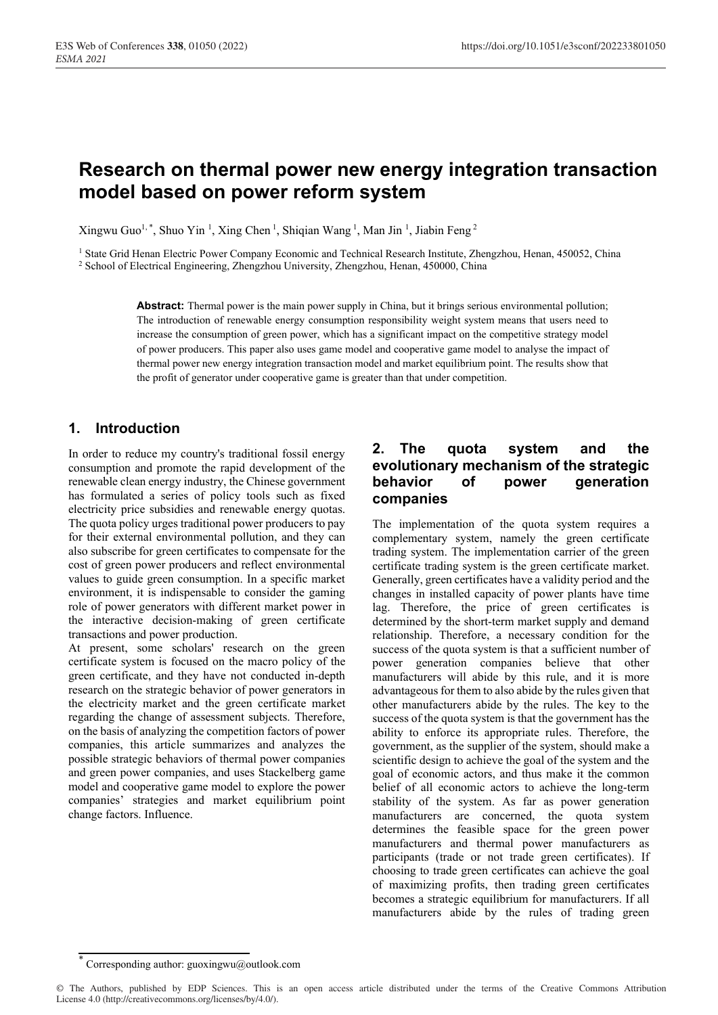# **Research on thermal power new energy integration transaction model based on power reform system**

Xingwu Guo<sup>1,\*</sup>, Shuo Yin<sup>1</sup>, Xing Chen<sup>1</sup>, Shiqian Wang<sup>1</sup>, Man Jin<sup>1</sup>, Jiabin Feng<sup>2</sup>

<sup>1</sup> State Grid Henan Electric Power Company Economic and Technical Research Institute, Zhengzhou, Henan, 450052, China <sup>2</sup> School of Electrical Engineering, Zhengzhou University, Zhengzhou, Henan, 450000, China

**Abstract:** Thermal power is the main power supply in China, but it brings serious environmental pollution; The introduction of renewable energy consumption responsibility weight system means that users need to increase the consumption of green power, which has a significant impact on the competitive strategy model of power producers. This paper also uses game model and cooperative game model to analyse the impact of thermal power new energy integration transaction model and market equilibrium point. The results show that the profit of generator under cooperative game is greater than that under competition.

# **1. Introduction**

In order to reduce my country's traditional fossil energy consumption and promote the rapid development of the renewable clean energy industry, the Chinese government has formulated a series of policy tools such as fixed electricity price subsidies and renewable energy quotas. The quota policy urges traditional power producers to pay for their external environmental pollution, and they can also subscribe for green certificates to compensate for the cost of green power producers and reflect environmental values to guide green consumption. In a specific market environment, it is indispensable to consider the gaming role of power generators with different market power in the interactive decision-making of green certificate transactions and power production.

At present, some scholars' research on the green certificate system is focused on the macro policy of the green certificate, and they have not conducted in-depth research on the strategic behavior of power generators in the electricity market and the green certificate market regarding the change of assessment subjects. Therefore, on the basis of analyzing the competition factors of power companies, this article summarizes and analyzes the possible strategic behaviors of thermal power companies and green power companies, and uses Stackelberg game model and cooperative game model to explore the power companies' strategies and market equilibrium point change factors. Influence.

### **2. The quota system and the evolutionary mechanism of the strategic behavior of power generation companies**

The implementation of the quota system requires a complementary system, namely the green certificate trading system. The implementation carrier of the green certificate trading system is the green certificate market. Generally, green certificates have a validity period and the changes in installed capacity of power plants have time lag. Therefore, the price of green certificates is determined by the short-term market supply and demand relationship. Therefore, a necessary condition for the success of the quota system is that a sufficient number of power generation companies believe that other manufacturers will abide by this rule, and it is more advantageous for them to also abide by the rules given that other manufacturers abide by the rules. The key to the success of the quota system is that the government has the ability to enforce its appropriate rules. Therefore, the government, as the supplier of the system, should make a scientific design to achieve the goal of the system and the goal of economic actors, and thus make it the common belief of all economic actors to achieve the long-term stability of the system. As far as power generation manufacturers are concerned, the quota system determines the feasible space for the green power manufacturers and thermal power manufacturers as participants (trade or not trade green certificates). If choosing to trade green certificates can achieve the goal of maximizing profits, then trading green certificates becomes a strategic equilibrium for manufacturers. If all manufacturers abide by the rules of trading green

<sup>\*</sup> Corresponding author: guoxingwu@outlook.com

<sup>©</sup> The Authors, published by EDP Sciences. This is an open access article distributed under the terms of the Creative Commons Attribution License 4.0 (http://creativecommons.org/licenses/by/4.0/).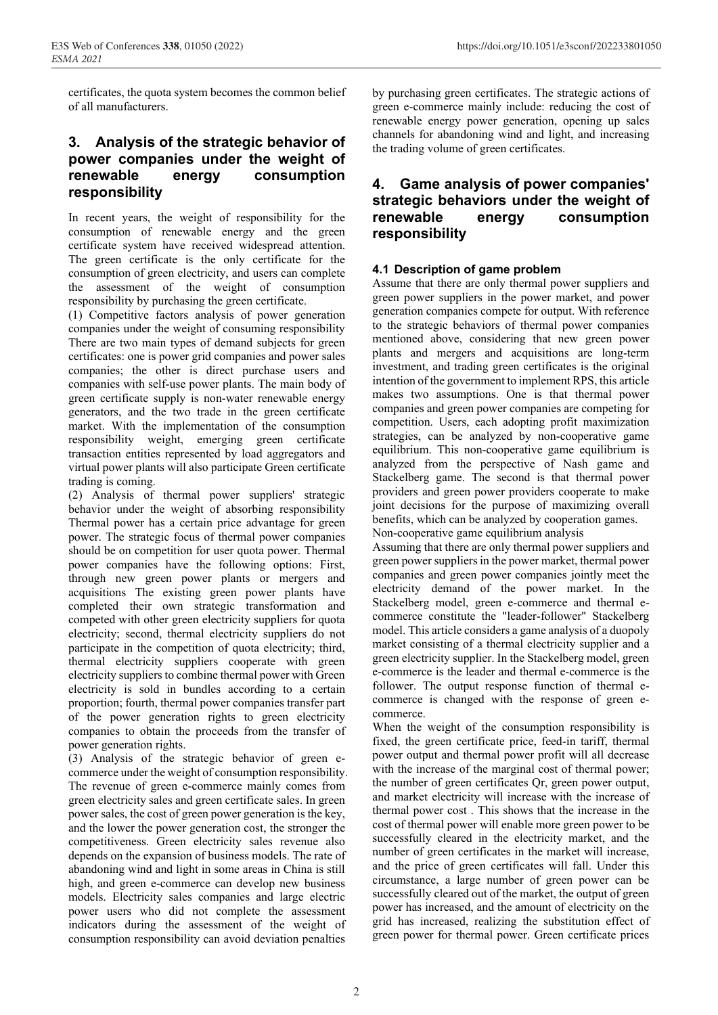certificates, the quota system becomes the common belief of all manufacturers.

## **3. Analysis of the strategic behavior of power companies under the weight of renewable energy consumption responsibility**

In recent years, the weight of responsibility for the consumption of renewable energy and the green certificate system have received widespread attention. The green certificate is the only certificate for the consumption of green electricity, and users can complete the assessment of the weight of consumption responsibility by purchasing the green certificate.

(1) Competitive factors analysis of power generation companies under the weight of consuming responsibility There are two main types of demand subjects for green certificates: one is power grid companies and power sales companies; the other is direct purchase users and companies with self-use power plants. The main body of green certificate supply is non-water renewable energy generators, and the two trade in the green certificate market. With the implementation of the consumption responsibility weight, emerging green certificate transaction entities represented by load aggregators and virtual power plants will also participate Green certificate trading is coming.

(2) Analysis of thermal power suppliers' strategic behavior under the weight of absorbing responsibility Thermal power has a certain price advantage for green power. The strategic focus of thermal power companies should be on competition for user quota power. Thermal power companies have the following options: First, through new green power plants or mergers and acquisitions The existing green power plants have completed their own strategic transformation and competed with other green electricity suppliers for quota electricity; second, thermal electricity suppliers do not participate in the competition of quota electricity; third, thermal electricity suppliers cooperate with green electricity suppliers to combine thermal power with Green electricity is sold in bundles according to a certain proportion; fourth, thermal power companies transfer part of the power generation rights to green electricity companies to obtain the proceeds from the transfer of power generation rights.

(3) Analysis of the strategic behavior of green ecommerce under the weight of consumption responsibility. The revenue of green e-commerce mainly comes from green electricity sales and green certificate sales. In green power sales, the cost of green power generation is the key, and the lower the power generation cost, the stronger the competitiveness. Green electricity sales revenue also depends on the expansion of business models. The rate of abandoning wind and light in some areas in China is still high, and green e-commerce can develop new business models. Electricity sales companies and large electric power users who did not complete the assessment indicators during the assessment of the weight of consumption responsibility can avoid deviation penalties

by purchasing green certificates. The strategic actions of green e-commerce mainly include: reducing the cost of renewable energy power generation, opening up sales channels for abandoning wind and light, and increasing the trading volume of green certificates.

## **4. Game analysis of power companies' strategic behaviors under the weight of renewable energy consumption responsibility**

#### **4.1 Description of game problem**

Assume that there are only thermal power suppliers and green power suppliers in the power market, and power generation companies compete for output. With reference to the strategic behaviors of thermal power companies mentioned above, considering that new green power plants and mergers and acquisitions are long-term investment, and trading green certificates is the original intention of the government to implement RPS, this article makes two assumptions. One is that thermal power companies and green power companies are competing for competition. Users, each adopting profit maximization strategies, can be analyzed by non-cooperative game equilibrium. This non-cooperative game equilibrium is analyzed from the perspective of Nash game and Stackelberg game. The second is that thermal power providers and green power providers cooperate to make joint decisions for the purpose of maximizing overall benefits, which can be analyzed by cooperation games. Non-cooperative game equilibrium analysis

Assuming that there are only thermal power suppliers and green power suppliers in the power market, thermal power companies and green power companies jointly meet the electricity demand of the power market. In the Stackelberg model, green e-commerce and thermal ecommerce constitute the "leader-follower" Stackelberg model. This article considers a game analysis of a duopoly market consisting of a thermal electricity supplier and a green electricity supplier. In the Stackelberg model, green e-commerce is the leader and thermal e-commerce is the follower. The output response function of thermal ecommerce is changed with the response of green ecommerce.

When the weight of the consumption responsibility is fixed, the green certificate price, feed-in tariff, thermal power output and thermal power profit will all decrease with the increase of the marginal cost of thermal power; the number of green certificates Qr, green power output, and market electricity will increase with the increase of thermal power cost . This shows that the increase in the cost of thermal power will enable more green power to be successfully cleared in the electricity market, and the number of green certificates in the market will increase, and the price of green certificates will fall. Under this circumstance, a large number of green power can be successfully cleared out of the market, the output of green power has increased, and the amount of electricity on the grid has increased, realizing the substitution effect of green power for thermal power. Green certificate prices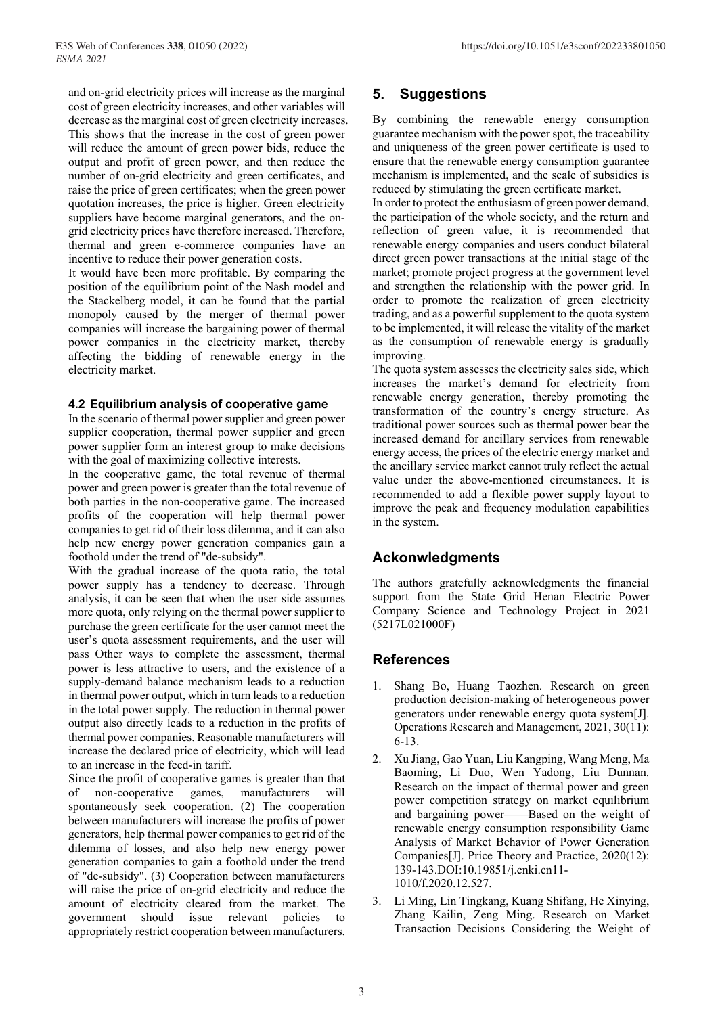and on-grid electricity prices will increase as the marginal cost of green electricity increases, and other variables will decrease as the marginal cost of green electricity increases. This shows that the increase in the cost of green power will reduce the amount of green power bids, reduce the output and profit of green power, and then reduce the number of on-grid electricity and green certificates, and raise the price of green certificates; when the green power quotation increases, the price is higher. Green electricity suppliers have become marginal generators, and the ongrid electricity prices have therefore increased. Therefore, thermal and green e-commerce companies have an incentive to reduce their power generation costs.

It would have been more profitable. By comparing the position of the equilibrium point of the Nash model and the Stackelberg model, it can be found that the partial monopoly caused by the merger of thermal power companies will increase the bargaining power of thermal power companies in the electricity market, thereby affecting the bidding of renewable energy in the electricity market.

#### **4.2 Equilibrium analysis of cooperative game**

In the scenario of thermal power supplier and green power supplier cooperation, thermal power supplier and green power supplier form an interest group to make decisions with the goal of maximizing collective interests.

In the cooperative game, the total revenue of thermal power and green power is greater than the total revenue of both parties in the non-cooperative game. The increased profits of the cooperation will help thermal power companies to get rid of their loss dilemma, and it can also help new energy power generation companies gain a foothold under the trend of "de-subsidy".

With the gradual increase of the quota ratio, the total power supply has a tendency to decrease. Through analysis, it can be seen that when the user side assumes more quota, only relying on the thermal power supplier to purchase the green certificate for the user cannot meet the user's quota assessment requirements, and the user will pass Other ways to complete the assessment, thermal power is less attractive to users, and the existence of a supply-demand balance mechanism leads to a reduction in thermal power output, which in turn leads to a reduction in the total power supply. The reduction in thermal power output also directly leads to a reduction in the profits of thermal power companies. Reasonable manufacturers will increase the declared price of electricity, which will lead to an increase in the feed-in tariff.

Since the profit of cooperative games is greater than that of non-cooperative games, manufacturers will spontaneously seek cooperation. (2) The cooperation between manufacturers will increase the profits of power generators, help thermal power companies to get rid of the dilemma of losses, and also help new energy power generation companies to gain a foothold under the trend of "de-subsidy". (3) Cooperation between manufacturers will raise the price of on-grid electricity and reduce the amount of electricity cleared from the market. The government should issue relevant policies to appropriately restrict cooperation between manufacturers.

# **5. Suggestions**

By combining the renewable energy consumption guarantee mechanism with the power spot, the traceability and uniqueness of the green power certificate is used to ensure that the renewable energy consumption guarantee mechanism is implemented, and the scale of subsidies is reduced by stimulating the green certificate market.

In order to protect the enthusiasm of green power demand, the participation of the whole society, and the return and reflection of green value, it is recommended that renewable energy companies and users conduct bilateral direct green power transactions at the initial stage of the market; promote project progress at the government level and strengthen the relationship with the power grid. In order to promote the realization of green electricity trading, and as a powerful supplement to the quota system to be implemented, it will release the vitality of the market as the consumption of renewable energy is gradually improving.

The quota system assesses the electricity sales side, which increases the market's demand for electricity from renewable energy generation, thereby promoting the transformation of the country's energy structure. As traditional power sources such as thermal power bear the increased demand for ancillary services from renewable energy access, the prices of the electric energy market and the ancillary service market cannot truly reflect the actual value under the above-mentioned circumstances. It is recommended to add a flexible power supply layout to improve the peak and frequency modulation capabilities in the system.

# **Ackonwledgments**

The authors gratefully acknowledgments the financial support from the State Grid Henan Electric Power Company Science and Technology Project in 2021 (5217L021000F)

# **References**

- 1. Shang Bo, Huang Taozhen. Research on green production decision-making of heterogeneous power generators under renewable energy quota system[J]. Operations Research and Management, 2021, 30(11): 6-13.
- 2. Xu Jiang, Gao Yuan, Liu Kangping, Wang Meng, Ma Baoming, Li Duo, Wen Yadong, Liu Dunnan. Research on the impact of thermal power and green power competition strategy on market equilibrium and bargaining power——Based on the weight of renewable energy consumption responsibility Game Analysis of Market Behavior of Power Generation Companies[J]. Price Theory and Practice, 2020(12): 139-143.DOI:10.19851/j.cnki.cn11- 1010/f.2020.12.527.
- 3. Li Ming, Lin Tingkang, Kuang Shifang, He Xinying, Zhang Kailin, Zeng Ming. Research on Market Transaction Decisions Considering the Weight of